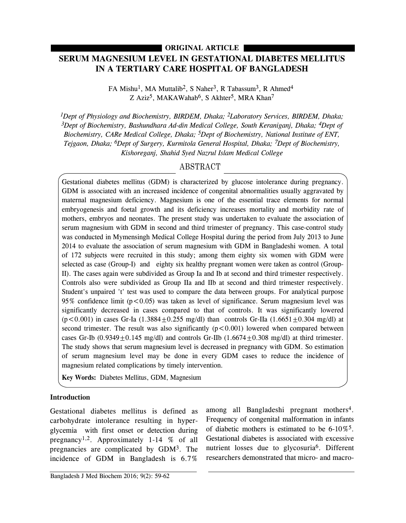## **ORIGINAL ARTICLE**

# **SERUM MAGNESIUM LEVEL IN GESTATIONAL DIABETES MELLITUS IN A TERTIARY CARE HOSPITAL OF BANGLADESH**

FA Mishu<sup>1</sup>, MA Muttalib<sup>2</sup>, S Naher<sup>3</sup>, R Tabassum<sup>3</sup>, R Ahmed<sup>4</sup> Z Aziz<sup>5</sup>, MAKAWahab<sup>6</sup>, S Akhter<sup>5</sup>, MRA Khan<sup>7</sup>

*1Dept of Physiology and Biochemistry, BIRDEM, Dhaka; 2Laboratory Services, BIRDEM, Dhaka; 3Dept of Biochemistry, Bashundhara Ad-din Medical College, South Keraniganj, Dhaka; 4Dept of Biochemistry, CARe Medical College, Dhaka; 5Dept of Biochemistry, National Institute of ENT, Tejgaon, Dhaka; 6Dept of Surgery, Kurmitola General Hospital, Dhaka; 7Dept of Biochemistry, Kishoreganj, Shahid Syed Nazrul Islam Medical College*

## ABSTRACT

Gestational diabetes mellitus (GDM) is characterized by glucose intolerance during pregnancy. GDM is associated with an increased incidence of congenital abnormalities usually aggravated by maternal magnesium deficiency. Magnesium is one of the essential trace elements for normal embryogenesis and foetal growth and its deficiency increases mortality and morbidity rate of mothers, embryos and neonates. The present study was undertaken to evaluate the association of serum magnesium with GDM in second and third trimester of pregnancy. This case-control study was conducted in Mymensingh Medical College Hospital during the period from July 2013 to June 2014 to evaluate the association of serum magnesium with GDM in Bangladeshi women. A total of 172 subjects were recruited in this study; among them eighty six women with GDM were selected as case (Group-I) and eighty six healthy pregnant women were taken as control (Group-II). The cases again were subdivided as Group Ia and Ib at second and third trimester respectively. Controls also were subdivided as Group IIa and IIb at second and third trimester respectively. Student's unpaired 't' test was used to compare the data between groups. For analytical purpose 95% confidence limit ( $p < 0.05$ ) was taken as level of significance. Serum magnesium level was significantly decreased in cases compared to that of controls. It was significantly lowered  $(p<0.001)$  in cases Gr-Ia (1.3884+0.255 mg/dl) than controls Gr-IIa (1.6651+0.304 mg/dl) at second trimester. The result was also significantly  $(p<0.001)$  lowered when compared between cases Gr-Ib  $(0.9349 \pm 0.145 \text{ mg/dl})$  and controls Gr-IIb  $(1.6674 \pm 0.308 \text{ mg/dl})$  at third trimester. The study shows that serum magnesium level is decreased in pregnancy with GDM. So estimation of serum magnesium level may be done in every GDM cases to reduce the incidence of magnesium related complications by timely intervention.

**Key Words:** Diabetes Mellitus, GDM, Magnesium

#### **Introduction**

Gestational diabetes mellitus is defined as carbohydrate intolerance resulting in hyperglycemia with first onset or detection during pregnancy<sup>1,2</sup>. Approximately 1-14  $%$  of all pregnancies are complicated by GDM3. The incidence of GDM in Bangladesh is 6.7%

among all Bangladeshi pregnant mothers<sup>4</sup>. Frequency of congenital malformation in infants of diabetic mothers is estimated to be 6-10%5. Gestational diabetes is associated with excessive nutrient losses due to glycosuria6. Different researchers demonstrated that micro- and macro-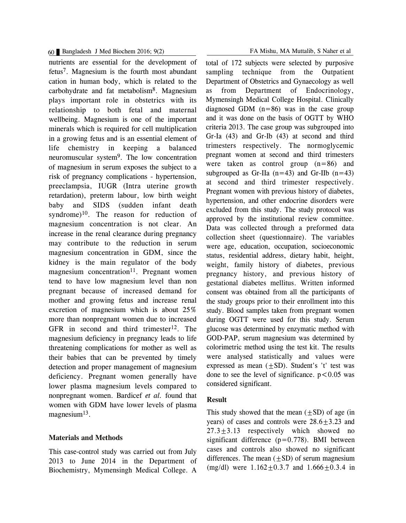### 60 Bangladesh J Med Biochem 2016; 9(2) FA Mishu, MA Muttalib, S Naher et al

nutrients are essential for the development of fetus7. Magnesium is the fourth most abundant cation in human body, which is related to the carbohydrate and fat metabolism8. Magnesium plays important role in obstetrics with its relationship to both fetal and maternal wellbeing. Magnesium is one of the important minerals which is required for cell multiplication in a growing fetus and is an essential element of life chemistry in keeping a balanced neuromuscular system9. The low concentration of magnesium in serum exposes the subject to a risk of pregnancy complications - hypertension, preeclampsia, IUGR (Intra uterine growth retardation), preterm labour, low birth weight baby and SIDS (sudden infant death syndrome) $10$ . The reason for reduction of magnesium concentration is not clear. An increase in the renal clearance during pregnancy may contribute to the reduction in serum magnesium concentration in GDM, since the kidney is the main regulator of the body magnesium concentration<sup>11</sup>. Pregnant women tend to have low magnesium level than non pregnant because of increased demand for mother and growing fetus and increase renal excretion of magnesium which is about 25% more than nonpregnant women due to increased GFR in second and third trimester<sup>12</sup>. The magnesium deficiency in pregnancy leads to life threatening complications for mother as well as their babies that can be prevented by timely detection and proper management of magnesium deficiency. Pregnant women generally have lower plasma magnesium levels compared to nonpregnant women. Bardicef *et al.* found that women with GDM have lower levels of plasma magnesium $13$ .

#### **Materials and Methods**

This case-control study was carried out from July 2013 to June 2014 in the Department of Biochemistry, Mymensingh Medical College. A

total of 172 subjects were selected by purposive sampling technique from the Outpatient Department of Obstetrics and Gynaecology as well as from Department of Endocrinology, Mymensingh Medical College Hospital. Clinically diagnosed GDM  $(n=86)$  was in the case group and it was done on the basis of OGTT by WHO criteria 2013. The case group was subgrouped into Gr-Ia (43) and Gr-Ib (43) at second and third trimesters respectively. The normoglycemic pregnant women at second and third trimesters were taken as control group (n=86) and subgrouped as Gr-IIa  $(n=43)$  and Gr-IIb  $(n=43)$ at second and third trimester respectively. Pregnant women with previous history of diabetes, hypertension, and other endocrine disorders were excluded from this study. The study protocol was approved by the institutional review committee. Data was collected through a preformed data collection sheet (questionnaire). The variables were age, education, occupation, socioeconomic status, residential address, dietary habit, height, weight, family history of diabetes, previous pregnancy history, and previous history of gestational diabetes mellitus. Written informed consent was obtained from all the participants of the study groups prior to their enrollment into this study. Blood samples taken from pregnant women during OGTT were used for this study. Serum glucose was determined by enzymatic method with GOD-PAP, serum magnesium was determined by colorimetric method using the test kit. The results were analysed statistically and values were expressed as mean  $(\pm SD)$ . Student's 't' test was done to see the level of significance.  $p < 0.05$  was considered significant.

#### **Result**

This study showed that the mean  $(\pm SD)$  of age (in years) of cases and controls were  $28.6 \pm 3.23$  and 27.3±3.13 respectively which showed no significant difference  $(p=0.778)$ . BMI between cases and controls also showed no significant differences. The mean  $(\pm SD)$  of serum magnesium (mg/dl) were  $1.162 \pm 0.3.7$  and  $1.666 \pm 0.3.4$  in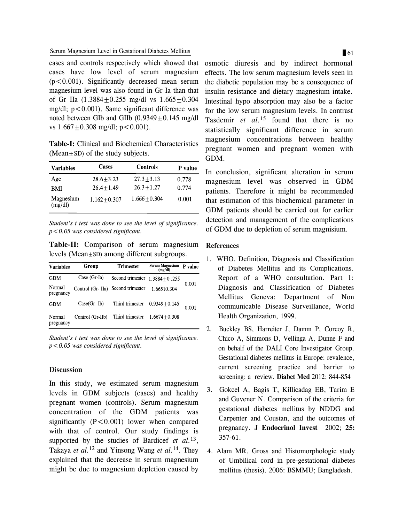cases and controls respectively which showed that cases have low level of serum magnesium  $(p<0.001)$ . Significantly decreased mean serum magnesium level was also found in Gr Ia than that of Gr IIa  $(1.3884 + 0.255 \text{ mg/dl} \text{ vs } 1.665 + 0.304$ mg/dl;  $p < 0.001$ ). Same significant difference was noted between GIb and GIIb  $(0.9349 \pm 0.145 \text{ mg/dl})$ vs  $1.667 \pm 0.308$  mg/dl;  $p < 0.001$ ).

**Table-I:** Clinical and Biochemical Characteristics  $(Mean+SD)$  of the study subjects.

| <b>Variables</b>     | Cases           | <b>Controls</b> | P value |
|----------------------|-----------------|-----------------|---------|
| Age                  | $28.6 + 3.23$   | $27.3 + 3.13$   | 0.778   |
| RMI                  | $26.4 + 1.49$   | $26.3 + 1.27$   | 0.774   |
| Magnesium<br>(mg/dl) | $1.162 + 0.307$ | $1.666 + 0.304$ | 0.001   |

*Student's t test was done to see the level of significance. p<0.05 was considered significant.*

**Table-II:** Comparison of serum magnesium levels (Mean+SD) among different subgroups.

| <b>Variables</b>    | Group            | <b>Trimester</b> | <b>Serum Magnesium</b><br>(mg/dl) | P value |
|---------------------|------------------|------------------|-----------------------------------|---------|
| <b>GDM</b>          | Case (Gr Ia)     | Second trimester | $1.3884 + 0.255$                  |         |
| Normal<br>pregnancy | Control (Gr-IIa) | Second trimester | 1.66510.304                       | 0.001   |
| <b>GDM</b>          | Case(Gr Ib)      | Third trimester  | $0.9349 + 0.145$                  | 0.001   |
| Normal<br>pregnancy | Control (Gr-IIb) | Third trimester  | $1.6674 + 0.308$                  |         |

*Student's t test was done to see the level of significance. p<0.05 was considered significant.*

#### **Discussion**

In this study, we estimated serum magnesium levels in GDM subjects (cases) and healthy pregnant women (controls). Serum magnesium concentration of the GDM patients was significantly  $(P<0.001)$  lower when compared with that of control. Our study findings is supported by the studies of Bardicef *et al.*13, Takaya *et al.*<sup>12</sup> and Yinsong Wang *et al.*14. They explained that the decrease in serum magnesium might be due to magnesium depletion caused by

osmotic diuresis and by indirect hormonal effects. The low serum magnesium levels seen in the diabetic population may be a consequence of insulin resistance and dietary magnesium intake. Intestinal hypo absorption may also be a factor for the low serum magnesium levels. In contrast Tasdemir *et al.*<sup>15</sup> found that there is no statistically significant difference in serum magnesium concentrations between healthy pregnant women and pregnant women with GDM.

In conclusion, significant alteration in serum magnesium level was observed in GDM patients. Therefore it might be recommended that estimation of this biochemical parameter in GDM patients should be carried out for earlier detection and management of the complications of GDM due to depletion of serum magnisium.

#### **References**

- 1. WHO. Definition, Diagnosis and Classification of Diabetes Mellitus and its Complications. Report of a WHO consultation. Part 1: Diagnosis and Classification of Diabetes Mellitus Geneva: Department of Non communicable Disease Surveillance, World Health Organization, 1999.
- 2. Buckley BS, Harreiter J, Damm P, Corcoy R, Chico A, Simmons D, Vellinga A, Dunne F and on behalf of the DALI Core Investigator Group. Gestational diabetes mellitus in Europe: revalence, current screening practice and barrier to screening: a review. **Diabet Med** 2012; 844-854
- 3. Gokcel A, Bagis T, Killicadag EB, Tarim E and Guvener N. Comparison of the criteria for gestational diabetes mellitus by NDDG and Carpenter and Coustan, and the outcomes of pregnancy. **J Endocrinol Invest** 2002; **25:** 357-61.
- 4. Alam MR. Gross and Histomorphologic study of Umbilical cord in pre-gestational diabetes mellitus (thesis). 2006: BSMMU; Bangladesh.